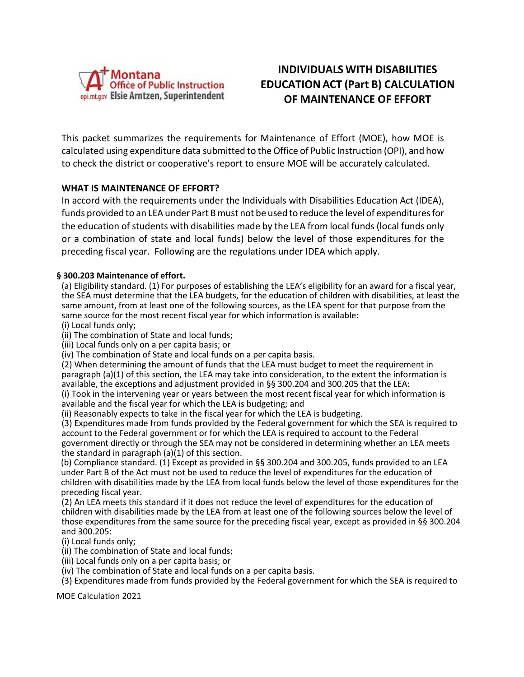

# **INDIVIDUALSWITH DISABILITIES EDUCATIONACT (Part B) CALCULATION OF MAINTENANCE OF EFFORT**

This packet summarizes the requirements for Maintenance of Effort (MOE), how MOE is calculated using expenditure data submitted to the Office of Public Instruction (OPI), and how to check the district or cooperative's report to ensure MOE will be accurately calculated.

## **WHAT IS MAINTENANCE OF EFFORT?**

In accord with the requirements under the Individuals with Disabilities Education Act (IDEA), funds provided to an LEA under Part B must not be used to reduce the level of expenditures for the education of students with disabilities made by the LEA from local funds (local funds only or a combination of state and local funds) below the level of those expenditures for the preceding fiscal year. Following are the regulations under IDEA which apply.

#### **§ 300.203 Maintenance of effort.**

(a) Eligibility standard. (1) For purposes of establishing the LEA's eligibility for an award for a fiscal year, the SEA must determine that the LEA budgets, for the education of children with disabilities, at least the same amount, from at least one of the following sources, as the LEA spent for that purpose from the same source for the most recent fiscal year for which information is available:

(i) Local funds only;

(ii) The combination of State and local funds;

(iii) Local funds only on a per capita basis; or

(iv) The combination of State and local funds on a per capita basis.

(2) When determining the amount of funds that the LEA must budget to meet the requirement in paragraph (a)(1) of this section, the LEA may take into consideration, to the extent the information is available, the exceptions and adjustment provided in §§ 300.204 and 300.205 that the LEA:

(i) Took in the intervening year or years between the most recent fiscal year for which information is available and the fiscal year for which the LEA is budgeting; and

(ii) Reasonably expects to take in the fiscal year for which the LEA is budgeting.

(3) Expenditures made from funds provided by the Federal government for which the SEA is required to account to the Federal government or for which the LEA is required to account to the Federal government directly or through the SEA may not be considered in determining whether an LEA meets the standard in paragraph (a)(1) of this section.

(b) Compliance standard. (1) Except as provided in §§ 300.204 and 300.205, funds provided to an LEA under Part B of the Act must not be used to reduce the level of expenditures for the education of children with disabilities made by the LEA from local funds below the level of those expenditures for the preceding fiscal year.

(2) An LEA meets this standard if it does not reduce the level of expenditures for the education of children with disabilities made by the LEA from at least one of the following sources below the level of those expenditures from the same source for the preceding fiscal year, except as provided in §§ 300.204 and 300.205:

(i) Local funds only;

(ii) The combination of State and local funds;

- (iii) Local funds only on a per capita basis; or
- (iv) The combination of State and local funds on a per capita basis.
- (3) Expenditures made from funds provided by the Federal government for which the SEA is required to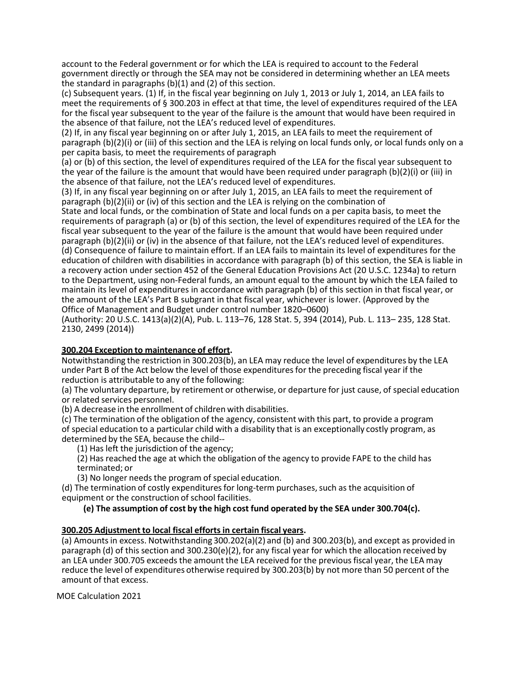account to the Federal government or for which the LEA is required to account to the Federal government directly or through the SEA may not be considered in determining whether an LEA meets the standard in paragraphs (b)(1) and (2) of this section.

(c) Subsequent years. (1) If, in the fiscal year beginning on July 1, 2013 or July 1, 2014, an LEA fails to meet the requirements of § 300.203 in effect at that time, the level of expenditures required of the LEA for the fiscal year subsequent to the year of the failure is the amount that would have been required in the absence of that failure, not the LEA's reduced level of expenditures.

(2) If, in any fiscal year beginning on or after July 1, 2015, an LEA fails to meet the requirement of paragraph (b)(2)(i) or (iii) of this section and the LEA is relying on local funds only, or local funds only on a per capita basis, to meet the requirements of paragraph

(a) or (b) of this section, the level of expenditures required of the LEA for the fiscal year subsequent to the year of the failure is the amount that would have been required under paragraph (b)(2)(i) or (iii) in the absence of that failure, not the LEA's reduced level of expenditures.

(3) If, in any fiscal year beginning on or after July 1, 2015, an LEA fails to meet the requirement of paragraph (b)(2)(ii) or (iv) of this section and the LEA is relying on the combination of State and local funds, or the combination of State and local funds on a per capita basis, to meet the requirements of paragraph (a) or (b) of this section, the level of expenditures required of the LEA for the fiscal year subsequent to the year of the failure is the amount that would have been required under paragraph (b)(2)(ii) or (iv) in the absence of that failure, not the LEA's reduced level of expenditures. (d) Consequence of failure to maintain effort. If an LEA fails to maintain its level of expenditures for the education of children with disabilities in accordance with paragraph (b) of this section, the SEA is liable in a recovery action under section 452 of the General Education Provisions Act (20 U.S.C. 1234a) to return to the Department, using non-Federal funds, an amount equal to the amount by which the LEA failed to maintain its level of expenditures in accordance with paragraph (b) of this section in that fiscal year, or the amount of the LEA's Part B subgrant in that fiscal year, whichever is lower. (Approved by the Office of Management and Budget under control number 1820–0600)

(Authority: 20 U.S.C. 1413(a)(2)(A), Pub. L. 113–76, 128 Stat. 5, 394 (2014), Pub. L. 113– 235, 128 Stat. 2130, 2499 (2014))

#### **300.204 Exception to maintenance of effort.**

Notwithstanding the restriction in 300.203(b), an LEA may reduce the level of expenditures by the LEA under Part B of the Act below the level of those expendituresfor the preceding fiscal year if the reduction is attributable to any of the following:

(a) The voluntary departure, by retirement or otherwise, or departure for just cause, of special education or related services personnel.

(b) A decrease in the enrollment of children with disabilities.

(c) The termination of the obligation of the agency, consistent with this part, to provide a program of special education to a particular child with a disability that is an exceptionally costly program, as determined by the SEA, because the child--

(1) Has left the jurisdiction of the agency;

(2) Has reached the age at which the obligation of the agency to provide FAPE to the child has terminated; or

(3) No longer needs the program of special education.

(d) The termination of costly expenditures for long-term purchases, such as the acquisition of equipment or the construction of school facilities.

**(e) The assumption of cost by the high cost fund operated by the SEA under 300.704(c).**

#### **300.205 Adjustment to local fiscal efforts in certain fiscal years.**

(a) Amountsin excess. Notwithstanding 300.202(a)(2) and (b) and 300.203(b), and except as provided in paragraph (d) of this section and 300.230(e)(2), for any fiscal year for which the allocation received by an LEA under 300.705 exceeds the amount the LEA received for the previousfiscal year, the LEA may reduce the level of expenditures otherwise required by 300.203(b) by not more than 50 percent of the amount of that excess.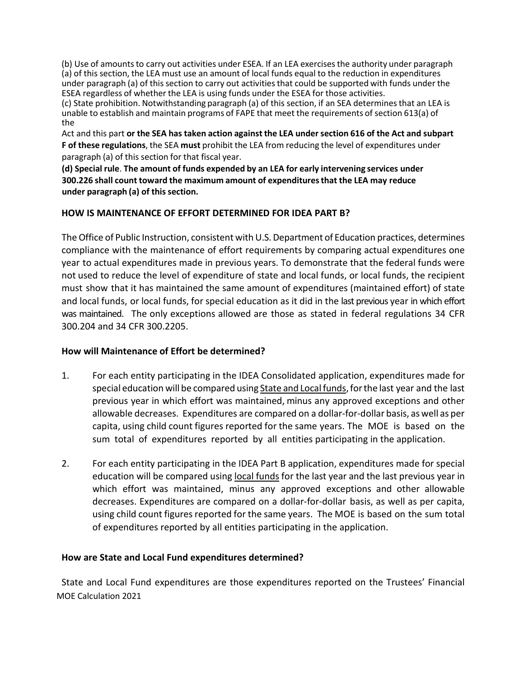(b) Use of amounts to carry out activities under ESEA. If an LEA exercises the authority under paragraph (a) of this section, the LEA must use an amount of local funds equal to the reduction in expenditures under paragraph (a) of this section to carry out activitiesthat could be supported with funds under the ESEA regardless of whether the LEA is using funds under the ESEA for those activities.

(c) State prohibition. Notwithstanding paragraph (a) of this section, if an SEA determinesthat an LEA is unable to establish and maintain programs of FAPE that meet the requirements of section 613(a) of the

Act and this part **or the SEA has taken action against the LEA undersection 616 of the Act and subpart F of these regulations**, the SEA **must** prohibit the LEA from reducing the level of expenditures under paragraph (a) of this section for that fiscal year.

**(d) Special rule**. **The amount of funds expended by an LEA for early intervening services under 300.226 shall count toward the maximum amount of expendituresthat the LEA may reduce under paragraph (a) of thissection.**

## **HOW IS MAINTENANCE OF EFFORT DETERMINED FOR IDEA PART B?**

The Office of Public Instruction, consistent with U.S. Department of Education practices, determines compliance with the maintenance of effort requirements by comparing actual expenditures one year to actual expenditures made in previous years. To demonstrate that the federal funds were not used to reduce the level of expenditure of state and local funds, or local funds, the recipient must show that it has maintained the same amount of expenditures (maintained effort) of state and local funds, or local funds, for special education as it did in the last previous year in which effort was maintained. The only exceptions allowed are those as stated in federal regulations 34 CFR 300.204 and 34 CFR 300.2205.

### **How will Maintenance of Effort be determined?**

- 1. For each entity participating in the IDEA Consolidated application, expenditures made for special education will be compared using State and Local funds, for the last year and the last previous year in which effort was maintained, minus any approved exceptions and other allowable decreases. Expenditures are compared on a dollar-for-dollar basis, as well as per capita, using child count figures reported for the same years. The MOE is based on the sum total of expenditures reported by all entities participating in the application.
- 2. For each entity participating in the IDEA Part B application, expenditures made for special education will be compared using local funds for the last year and the last previous year in which effort was maintained, minus any approved exceptions and other allowable decreases. Expenditures are compared on a dollar-for-dollar basis, as well as per capita, using child count figures reported for the same years. The MOE is based on the sum total of expenditures reported by all entities participating in the application.

### **How are State and Local Fund expenditures determined?**

MOE Calculation 2021 State and Local Fund expenditures are those expenditures reported on the Trustees' Financial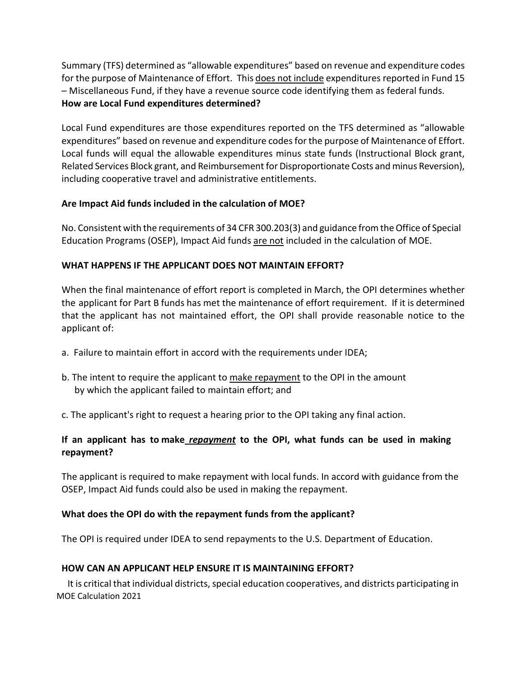Summary (TFS) determined as "allowable expenditures" based on revenue and expenditure codes for the purpose of Maintenance of Effort. This does not include expenditures reported in Fund 15 – Miscellaneous Fund, if they have a revenue source code identifying them as federal funds. **How are Local Fund expenditures determined?**

Local Fund expenditures are those expenditures reported on the TFS determined as "allowable expenditures" based on revenue and expenditure codes for the purpose of Maintenance of Effort. Local funds will equal the allowable expenditures minus state funds (Instructional Block grant, Related Services Block grant, and Reimbursement for Disproportionate Costs and minus Reversion), including cooperative travel and administrative entitlements.

## **Are Impact Aid funds included in the calculation of MOE?**

No. Consistent with the requirements of 34 CFR 300.203(3) and guidance fromtheOffice of Special Education Programs (OSEP), Impact Aid funds are not included in the calculation of MOE.

## **WHAT HAPPENS IF THE APPLICANT DOES NOT MAINTAIN EFFORT?**

When the final maintenance of effort report is completed in March, the OPI determines whether the applicant for Part B funds has met the maintenance of effort requirement. If it is determined that the applicant has not maintained effort, the OPI shall provide reasonable notice to the applicant of:

- a. Failure to maintain effort in accord with the requirements under IDEA;
- b. The intent to require the applicant to make repayment to the OPI in the amount by which the applicant failed to maintain effort; and
- c. The applicant's right to request a hearing prior to the OPI taking any final action.

## **If an applicant has to make** *repayment* **to the OPI, what funds can be used in making repayment?**

The applicant is required to make repayment with local funds. In accord with guidance from the OSEP, Impact Aid funds could also be used in making the repayment.

## **What does the OPI do with the repayment funds from the applicant?**

The OPI is required under IDEA to send repayments to the U.S. Department of Education.

## **HOW CAN AN APPLICANT HELP ENSURE IT IS MAINTAINING EFFORT?**

MOE Calculation 2021 It is critical that individual districts, special education cooperatives, and districts participating in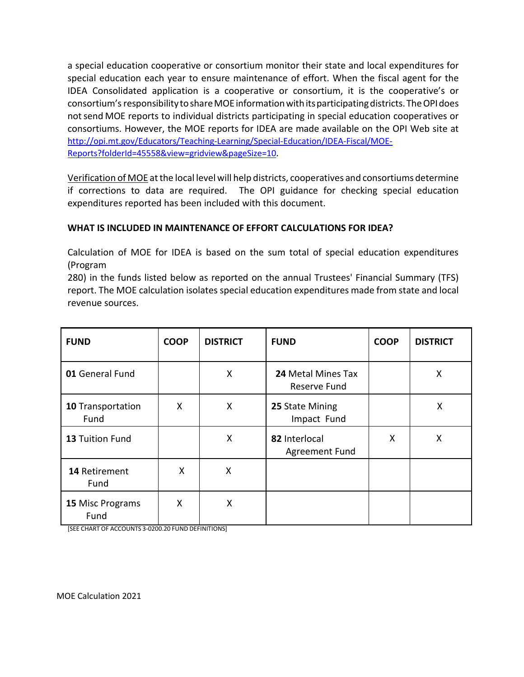a special education cooperative or consortium monitor their state and local expenditures for special education each year to ensure maintenance of effort. When the fiscal agent for the IDEA Consolidated application is a cooperative or consortium, it is the cooperative's or consortium's responsibilitytoshareMOE informationwithitsparticipatingdistricts.TheOPIdoes not send MOE reports to individual districts participating in special education cooperatives or consortiums. However, the MOE reports for IDEA are made available on the OPI Web site at [http://opi.mt.gov/Educators/Teaching-Learning/Special-Education/IDEA-Fiscal/MOE-](http://opi.mt.gov/Educators/Teaching-Learning/Special-Education/IDEA-Fiscal/MOE-Reports?folderId=45558&view=gridview&pageSize=10)[Reports?folderId=45558&view=gridview&pageSize=10.](http://opi.mt.gov/Educators/Teaching-Learning/Special-Education/IDEA-Fiscal/MOE-Reports?folderId=45558&view=gridview&pageSize=10)

Verification of MOE atthe local level will help districts, cooperatives and consortiums determine if corrections to data are required. The OPI guidance for checking special education expenditures reported has been included with this document.

## **WHAT IS INCLUDED IN MAINTENANCE OF EFFORT CALCULATIONS FOR IDEA?**

Calculation of MOE for IDEA is based on the sum total of special education expenditures (Program

280) in the funds listed below as reported on the annual Trustees' Financial Summary (TFS) report. The MOE calculation isolates special education expenditures made from state and local revenue sources.

| <b>FUND</b>               | <b>COOP</b> | <b>DISTRICT</b> | <b>FUND</b>                            | <b>COOP</b> | <b>DISTRICT</b> |
|---------------------------|-------------|-----------------|----------------------------------------|-------------|-----------------|
| 01 General Fund           |             | X               | 24 Metal Mines Tax<br>Reserve Fund     |             | X               |
| 10 Transportation<br>Fund | Χ           | X               | 25 State Mining<br>Impact Fund         |             | Χ               |
| 13 Tuition Fund           |             | X               | 82 Interlocal<br><b>Agreement Fund</b> | X           | X               |
| 14 Retirement<br>Fund     | X           | X               |                                        |             |                 |
| 15 Misc Programs<br>Fund  | X           | X               |                                        |             |                 |

[SEE CHART OF ACCOUNTS 3-0200.20 FUND DEFINITIONS]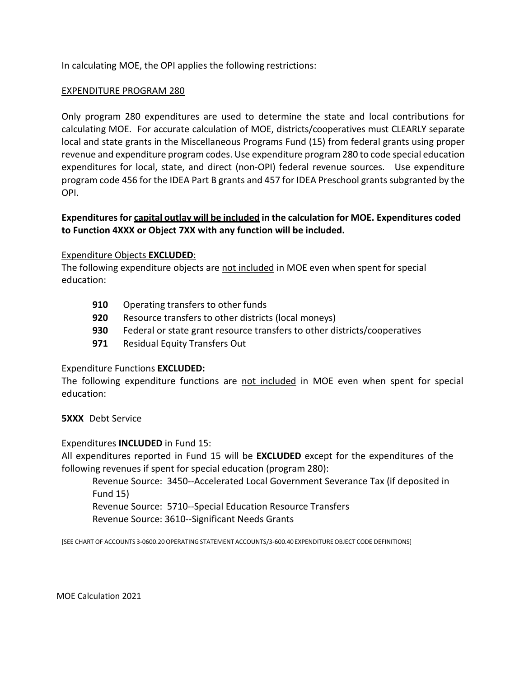In calculating MOE, the OPI applies the following restrictions:

### EXPENDITURE PROGRAM 280

Only program 280 expenditures are used to determine the state and local contributions for calculating MOE. For accurate calculation of MOE, districts/cooperatives must CLEARLY separate local and state grants in the Miscellaneous Programs Fund (15) from federal grants using proper revenue and expenditure program codes. Use expenditure program 280 to code special education expenditures for local, state, and direct (non-OPI) federal revenue sources. Use expenditure program code 456 for the IDEA Part B grants and 457 for IDEA Preschool grants subgranted by the OPI.

## **Expendituresfor capital outlay will be included in the calculation for MOE. Expenditures coded to Function 4XXX or Object 7XX with any function will be included.**

### Expenditure Objects **EXCLUDED**:

The following expenditure objects are not included in MOE even when spent for special education:

- **910** Operating transfers to other funds
- **920** Resource transfers to other districts (local moneys)
- **930** Federal or state grant resource transfers to other districts/cooperatives
- **971** Residual Equity Transfers Out

### Expenditure Functions **EXCLUDED:**

The following expenditure functions are not included in MOE even when spent for special education:

**5XXX** Debt Service

### Expenditures **INCLUDED** in Fund 15:

All expenditures reported in Fund 15 will be **EXCLUDED** except for the expenditures of the following revenues if spent for special education (program 280):

Revenue Source: 3450--Accelerated Local Government Severance Tax (if deposited in Fund 15)

Revenue Source: 5710--Special Education Resource Transfers Revenue Source: 3610--Significant Needs Grants

[SEE CHART OF ACCOUNTS 3-0600.20OPERATING STATEMENT ACCOUNTS/3-600.40EXPENDITUREOBJECT CODE DEFINITIONS]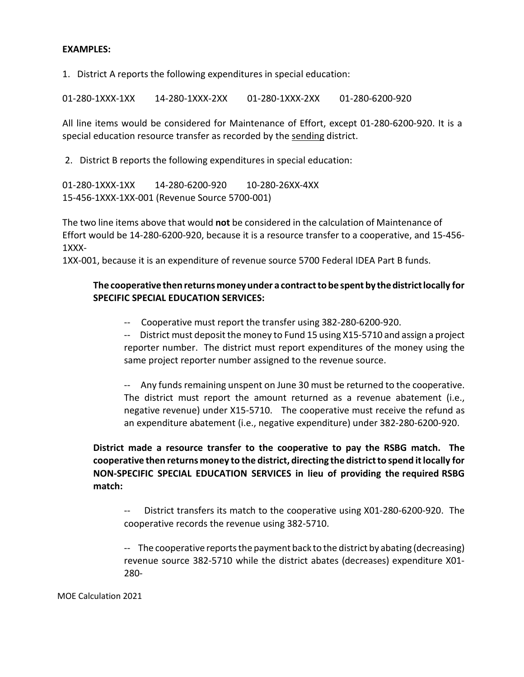### **EXAMPLES:**

1. District A reports the following expenditures in special education:

01-280-1XXX-1XX 14-280-1XXX-2XX 01-280-1XXX-2XX 01-280-6200-920

All line items would be considered for Maintenance of Effort, except 01-280-6200-920. It is a special education resource transfer as recorded by the sending district.

2. District B reports the following expenditures in special education:

01-280-1XXX-1XX 14-280-6200-920 10-280-26XX-4XX 15-456-1XXX-1XX-001 (Revenue Source 5700-001)

The two line items above that would **not** be considered in the calculation of Maintenance of Effort would be 14-280-6200-920, because it is a resource transfer to a cooperative, and 15-456- 1XXX-

1XX-001, because it is an expenditure of revenue source 5700 Federal IDEA Part B funds.

## **The cooperative then returns money under a contracttobe spent by thedistrictlocally for SPECIFIC SPECIAL EDUCATION SERVICES:**

-- Cooperative must report the transfer using 382-280-6200-920.

-- District must deposit the money to Fund 15 using X15-5710 and assign a project reporter number. The district must report expenditures of the money using the same project reporter number assigned to the revenue source.

-- Any funds remaining unspent on June 30 must be returned to the cooperative. The district must report the amount returned as a revenue abatement (i.e., negative revenue) under X15-5710. The cooperative must receive the refund as an expenditure abatement (i.e., negative expenditure) under 382-280-6200-920.

**District made a resource transfer to the cooperative to pay the RSBG match. The cooperative then returns money to the district, directing the districtto spend itlocally for NON-SPECIFIC SPECIAL EDUCATION SERVICES in lieu of providing the required RSBG match:**

-- District transfers its match to the cooperative using X01-280-6200-920. The cooperative records the revenue using 382-5710.

-- The cooperative reports the payment back to the district by abating (decreasing) revenue source 382-5710 while the district abates (decreases) expenditure X01- 280-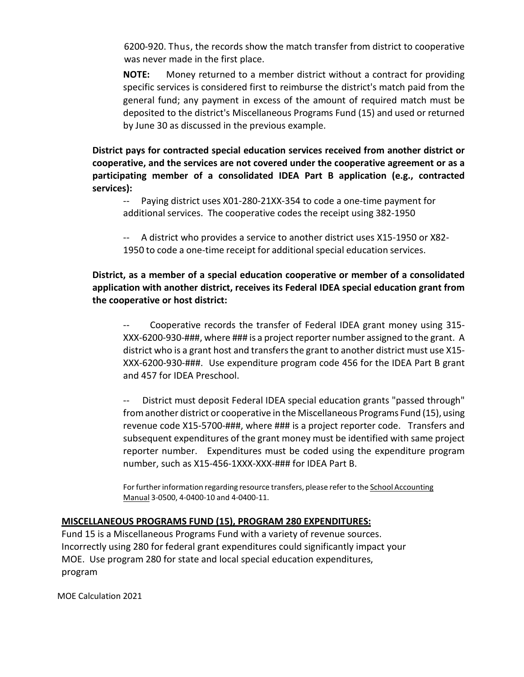6200-920. Thus, the records show the match transfer from district to cooperative was never made in the first place.

**NOTE:** Money returned to a member district without a contract for providing specific services is considered first to reimburse the district's match paid from the general fund; any payment in excess of the amount of required match must be deposited to the district's Miscellaneous Programs Fund (15) and used or returned by June 30 as discussed in the previous example.

**District pays for contracted special education services received from another district or cooperative, and the services are not covered under the cooperative agreement or as a participating member of a consolidated IDEA Part B application (e.g., contracted services):**

-- Paying district uses X01-280-21XX-354 to code a one-time payment for additional services. The cooperative codes the receipt using 382-1950

-- A district who provides a service to another district uses X15-1950 or X82- 1950 to code a one-time receipt for additional special education services.

**District, as a member of a special education cooperative or member of a consolidated application with another district, receives its Federal IDEA special education grant from the cooperative or host district:**

Cooperative records the transfer of Federal IDEA grant money using 315-XXX-6200-930-###, where ### is a project reporter number assigned to the grant. A district who is a grant host and transfersthe grant to another district must use X15- XXX-6200-930-###. Use expenditure program code 456 for the IDEA Part B grant and 457 for IDEA Preschool.

-- District must deposit Federal IDEA special education grants "passed through" fromanother district or cooperative in the Miscellaneous Programs Fund (15), using revenue code X15-5700-###, where ### is a project reporter code. Transfers and subsequent expenditures of the grant money must be identified with same project reporter number. Expenditures must be coded using the expenditure program number, such as X15-456-1XXX-XXX-### for IDEA Part B.

For further information regarding resource transfers, please refer to the School Accounting Manual 3-0500, 4-0400-10 and 4-0400-11.

### **MISCELLANEOUS PROGRAMS FUND (15), PROGRAM 280 EXPENDITURES:**

Fund 15 is a Miscellaneous Programs Fund with a variety of revenue sources. Incorrectly using 280 for federal grant expenditures could significantly impact your MOE. Use program 280 for state and local special education expenditures, program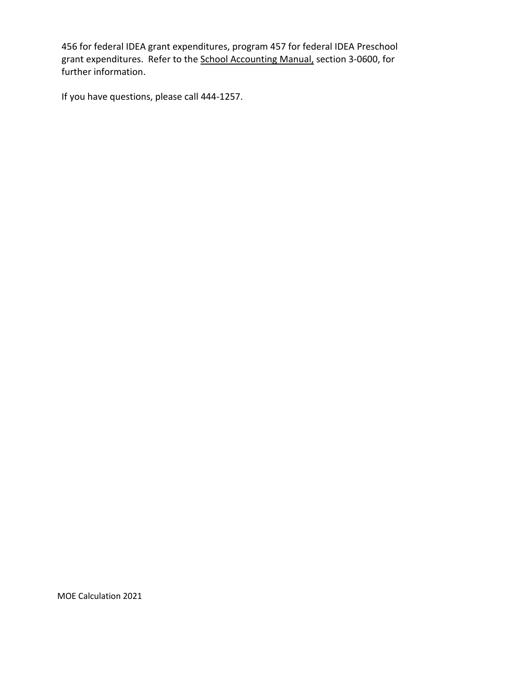456 for federal IDEA grant expenditures, program 457 for federal IDEA Preschool grant expenditures. Refer to the School Accounting Manual, section 3-0600, for further information.

If you have questions, please call 444-1257.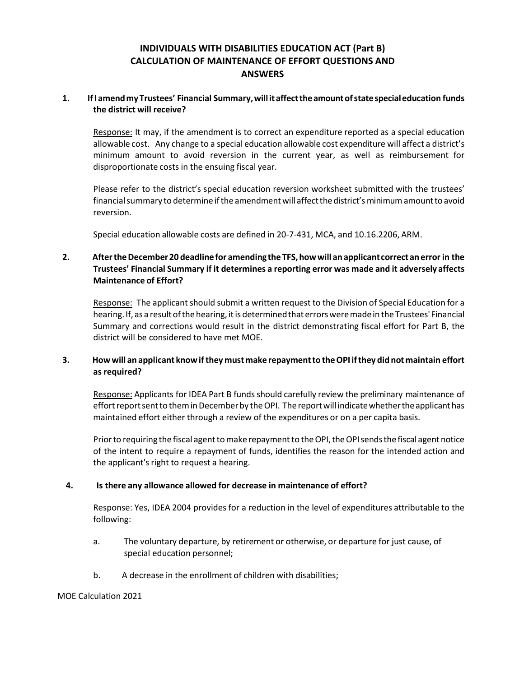## **INDIVIDUALS WITH DISABILITIES EDUCATION ACT (Part B) CALCULATION OF MAINTENANCE OF EFFORT QUESTIONS AND ANSWERS**

#### **1. IfI amendmyTrustees' Financial Summary,willitaffecttheamountofstatespecialeducation funds the district will receive?**

Response: It may, if the amendment is to correct an expenditure reported as a special education allowable cost. Any change to a special education allowable cost expenditure will affect a district's minimum amount to avoid reversion in the current year, as well as reimbursement for disproportionate costs in the ensuing fiscal year.

Please refer to the district's special education reversion worksheet submitted with the trustees' financial summary to determine if the amendment will affect the district's minimum amount to avoid reversion.

Special education allowable costs are defined in 20-7-431, MCA, and 10.16.2206, ARM.

### **2. AftertheDecember20 deadlinefor amendingthe TFS,howwill an applicantcorrectan error in the Trustees' Financial Summary if it determines a reporting error was made and it adversely affects Maintenance of Effort?**

Response: The applicant should submit a written request to the Division of Special Education for a hearing. If, as a result of the hearing, it is determined that errors were made in the Trustees' Financial Summary and corrections would result in the district demonstrating fiscal effort for Part B, the district will be considered to have met MOE.

### **3. Howwill an applicant knowifthey mustmake repaymentto theOPI ifthey did not maintain effort as required?**

Response: Applicants for IDEA Part B funds should carefully review the preliminary maintenance of effort report sent to them in December by the OPI. The report will indicate whether the applicant has maintained effort either through a review of the expenditures or on a per capita basis.

Prior to requiring the fiscal agent to make repayment to the OPI, the OPI sends the fiscal agent notice of the intent to require a repayment of funds, identifies the reason for the intended action and the applicant's right to request a hearing.

#### **4. Is there any allowance allowed for decrease in maintenance of effort?**

Response: Yes, IDEA 2004 provides for a reduction in the level of expenditures attributable to the following:

- a. The voluntary departure, by retirement or otherwise, or departure for just cause, of special education personnel;
- b. A decrease in the enrollment of children with disabilities;